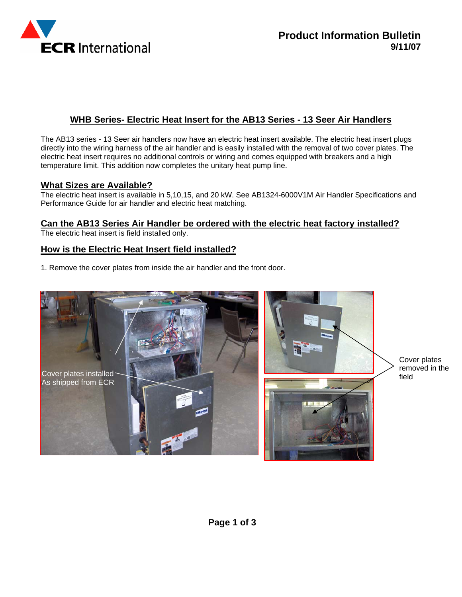

# **WHB Series- Electric Heat Insert for the AB13 Series - 13 Seer Air Handlers**

The AB13 series - 13 Seer air handlers now have an electric heat insert available. The electric heat insert plugs directly into the wiring harness of the air handler and is easily installed with the removal of two cover plates. The electric heat insert requires no additional controls or wiring and comes equipped with breakers and a high temperature limit. This addition now completes the unitary heat pump line.

#### **What Sizes are Available?**

The electric heat insert is available in 5,10,15, and 20 kW. See AB1324-6000V1M Air Handler Specifications and Performance Guide for air handler and electric heat matching.

### **Can the AB13 Series Air Handler be ordered with the electric heat factory installed?**

The electric heat insert is field installed only.

### **How is the Electric Heat Insert field installed?**

1. Remove the cover plates from inside the air handler and the front door.



Cover plates removed in the field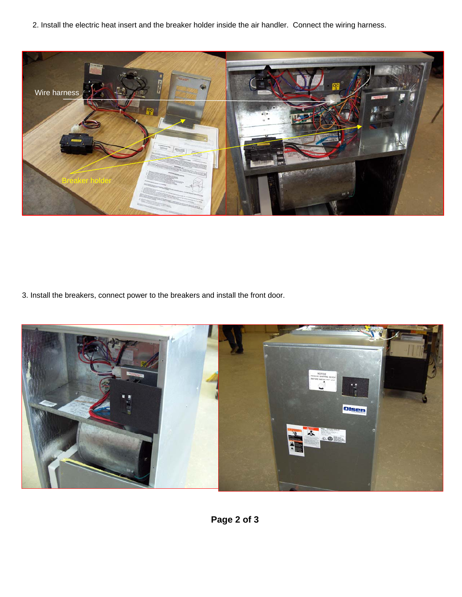2. Install the electric heat insert and the breaker holder inside the air handler. Connect the wiring harness.



3. Install the breakers, connect power to the breakers and install the front door.